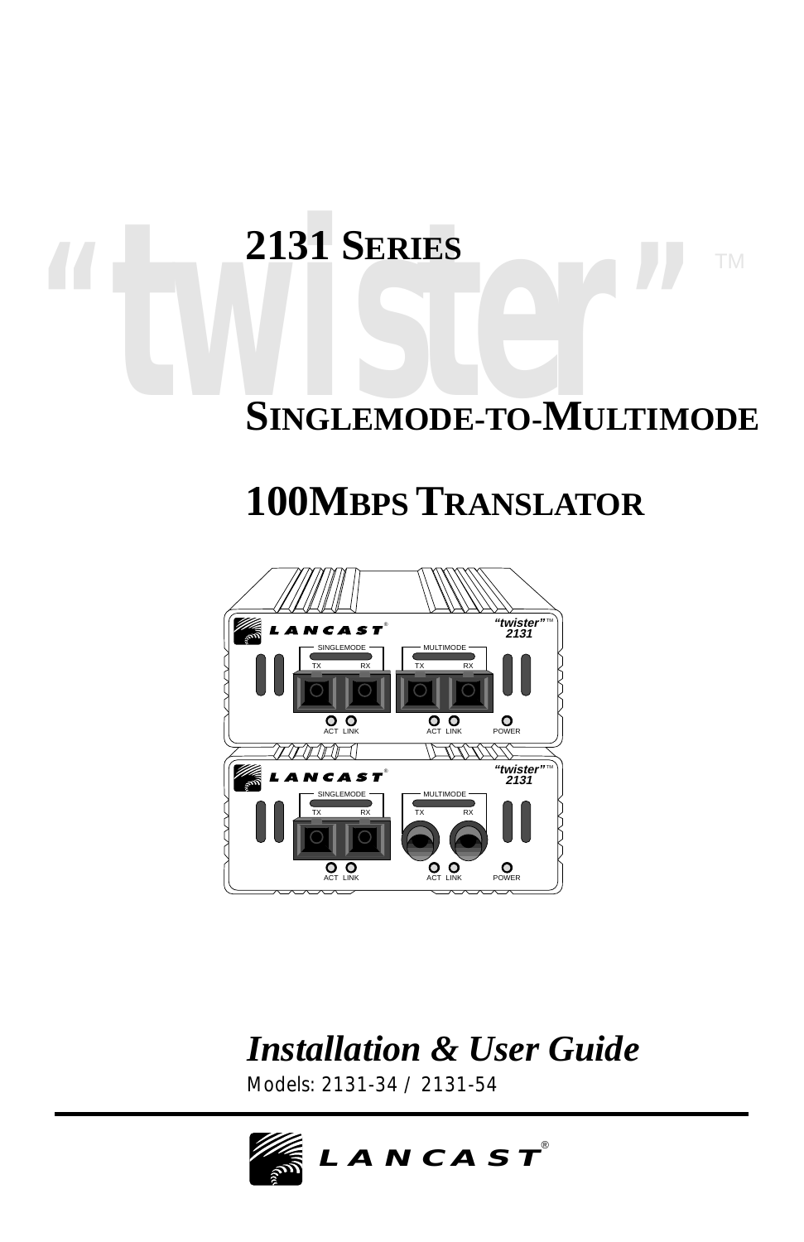# **2131 SERIES<br>SINGLEMODE-TO-MULTIMODI SINGLEMODE-TO-MULTIMODE**

### **100MBPS TRANSLATOR**



### *Installation & User Guide*

Models: 2131-34 / 2131-54

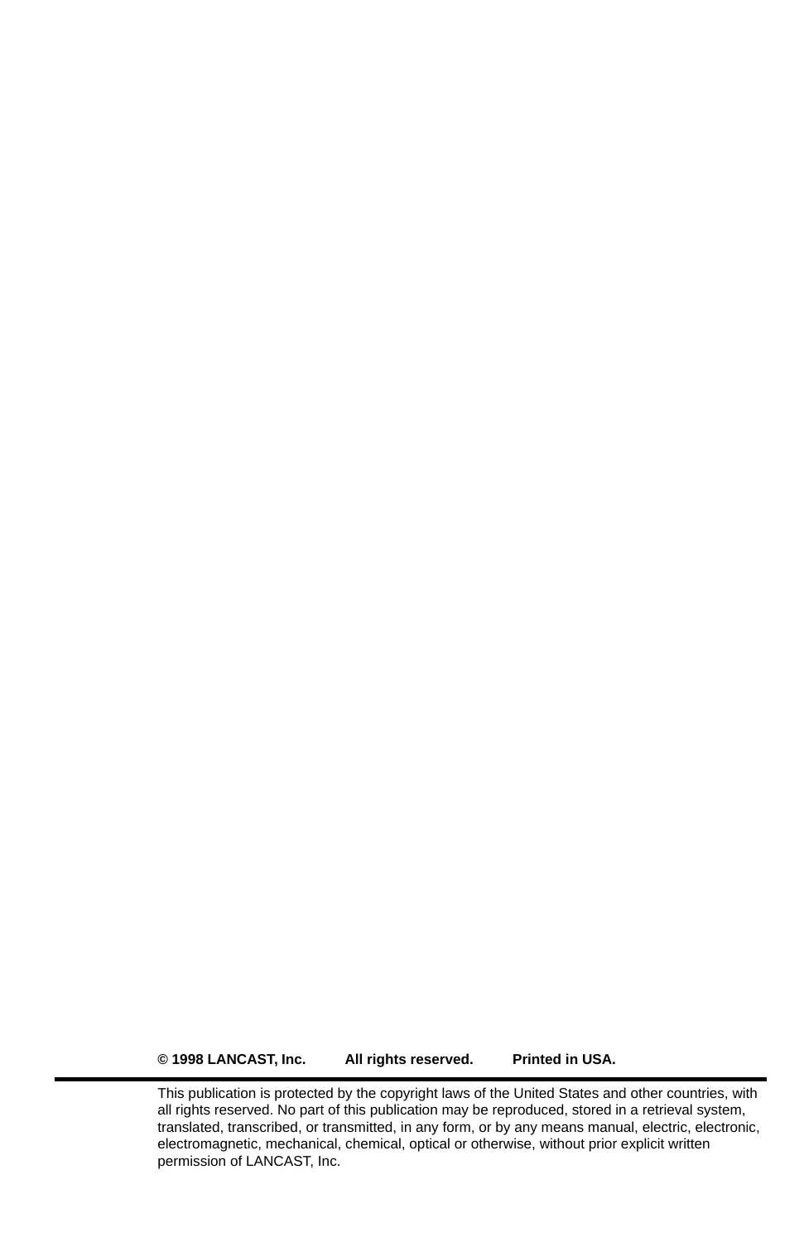#### **© 1998 LANCAST, Inc. All rights reserved. Printed in USA.**

This publication is protected by the copyright laws of the United States and other countries, with all rights reserved. No part of this publication may be reproduced, stored in a retrieval system, translated, transcribed, or transmitted, in any form, or by any means manual, electric, electronic, electromagnetic, mechanical, chemical, optical or otherwise, without prior explicit written permission of LANCAST, Inc.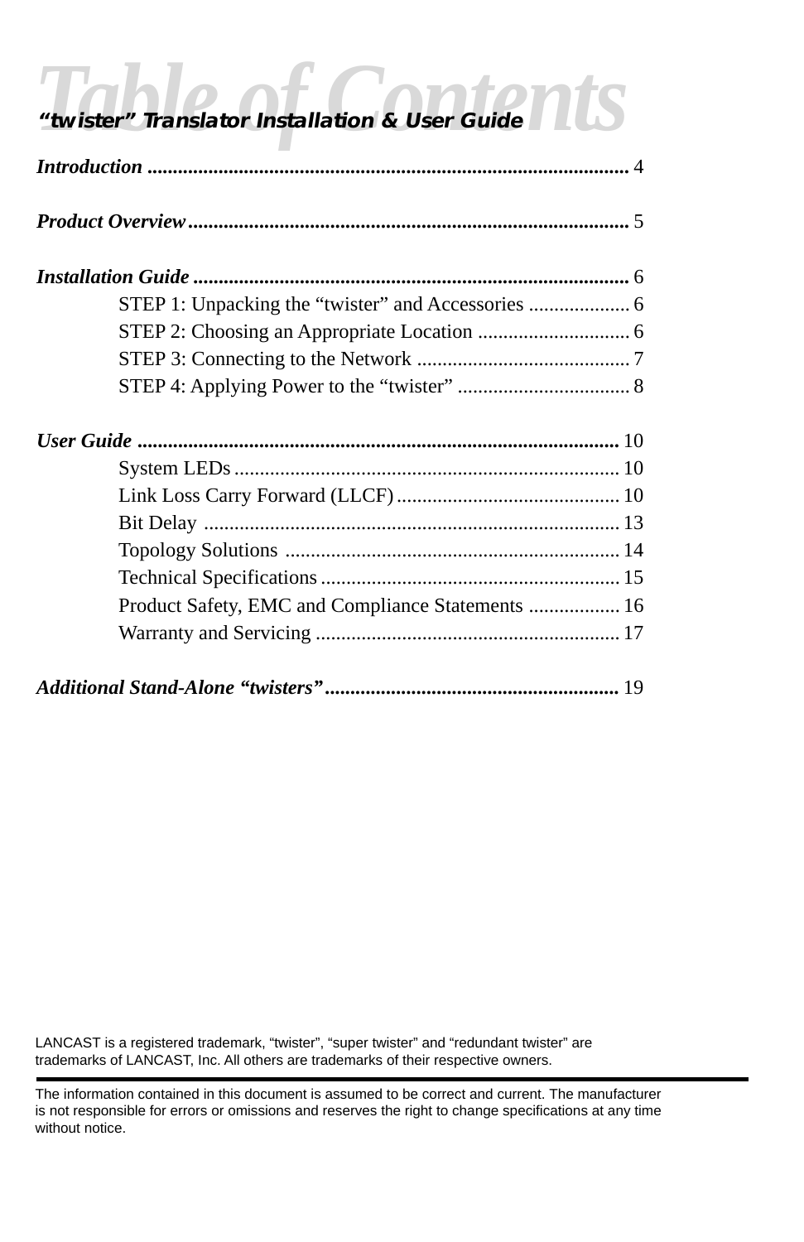## *Table of Contents "twister" Translator Installation & User Guide*

| STEP 1: Unpacking the "twister" and Accessories  6 |  |
|----------------------------------------------------|--|
|                                                    |  |
|                                                    |  |
|                                                    |  |
|                                                    |  |
|                                                    |  |
|                                                    |  |
|                                                    |  |
|                                                    |  |
|                                                    |  |
| Product Safety, EMC and Compliance Statements  16  |  |
|                                                    |  |
|                                                    |  |

LANCAST is a registered trademark, "twister", "super twister" and "redundant twister" are trademarks of LANCAST, Inc. All others are trademarks of their respective owners.

The information contained in this document is assumed to be correct and current. The manufacturer is not responsible for errors or omissions and reserves the right to change specifications at any time without notice.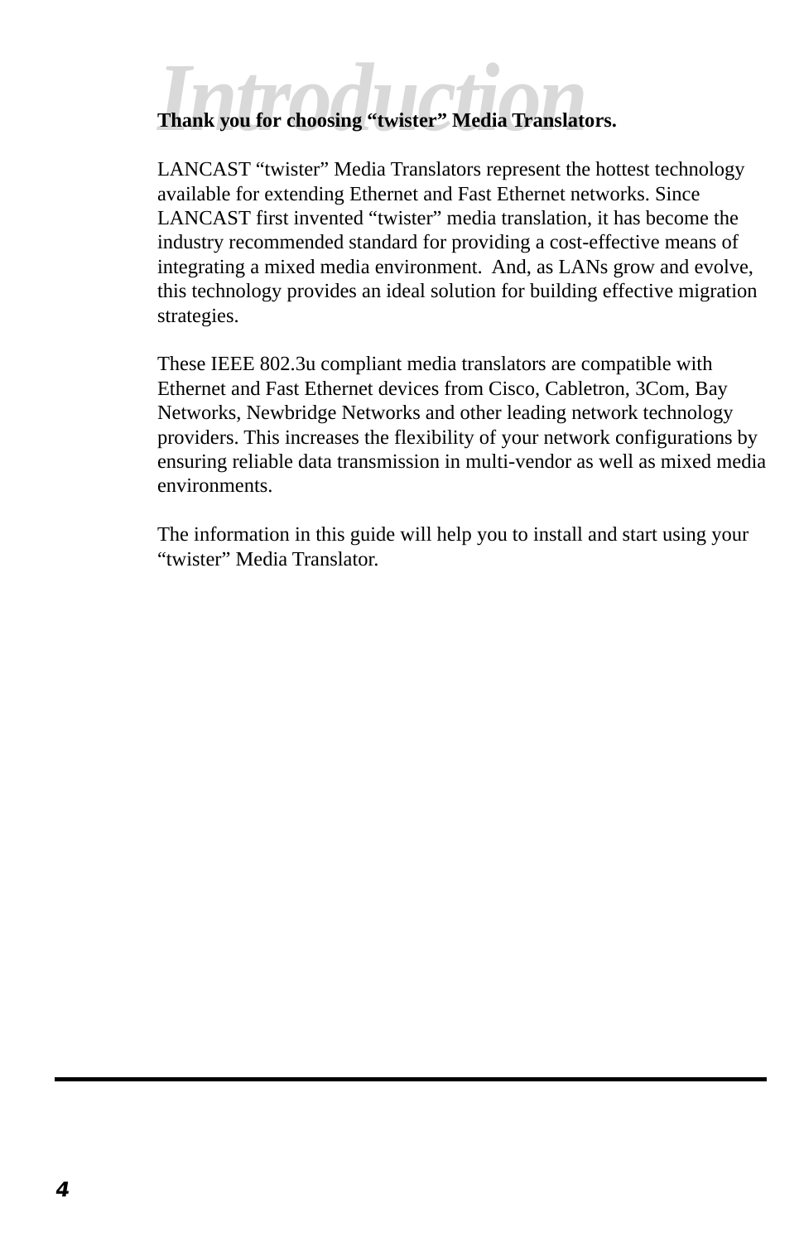### **Thank you for choosing "twister" Media Translators.**

LANCAST "twister" Media Translators represent the hottest technology available for extending Ethernet and Fast Ethernet networks. Since LANCAST first invented "twister" media translation, it has become the industry recommended standard for providing a cost-effective means of integrating a mixed media environment. And, as LANs grow and evolve, this technology provides an ideal solution for building effective migration strategies.

These IEEE 802.3u compliant media translators are compatible with Ethernet and Fast Ethernet devices from Cisco, Cabletron, 3Com, Bay Networks, Newbridge Networks and other leading network technology providers. This increases the flexibility of your network configurations by ensuring reliable data transmission in multi-vendor as well as mixed media environments.

The information in this guide will help you to install and start using your "twister" Media Translator.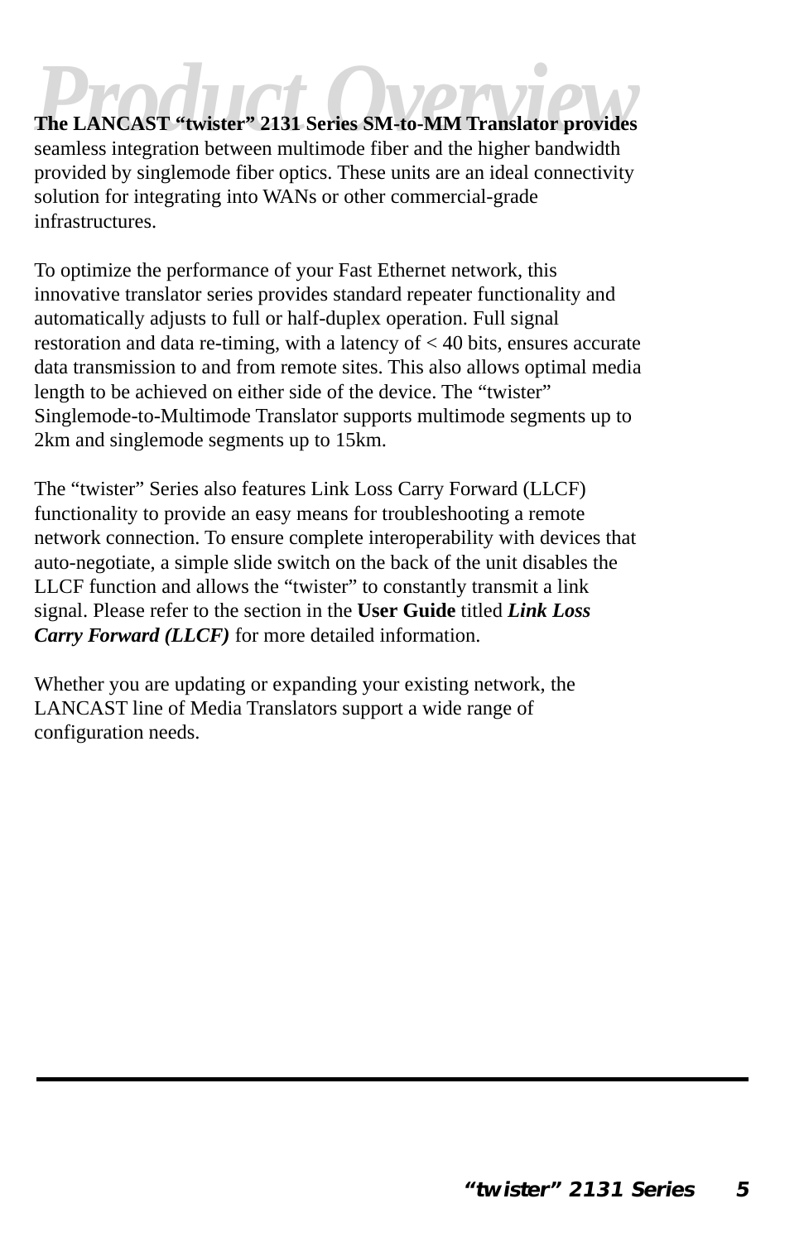# **The LANCAST "twister" 2131 Series SM-to-MM Translator provides**<br> **Product Overview**<br> **Product Overview**<br> **Product Overview**<br> **Product Overview**<br> **Product Overview**<br> **Product Overview**<br> **Product Overview**<br> **Product Overvie**

seamless integration between multimode fiber and the higher bandwidth provided by singlemode fiber optics. These units are an ideal connectivity solution for integrating into WANs or other commercial-grade infrastructures.

To optimize the performance of your Fast Ethernet network, this innovative translator series provides standard repeater functionality and automatically adjusts to full or half-duplex operation. Full signal restoration and data re-timing, with a latency of < 40 bits, ensures accurate data transmission to and from remote sites. This also allows optimal media length to be achieved on either side of the device. The "twister" Singlemode-to-Multimode Translator supports multimode segments up to 2km and singlemode segments up to 15km.

The "twister" Series also features Link Loss Carry Forward (LLCF) functionality to provide an easy means for troubleshooting a remote network connection. To ensure complete interoperability with devices that auto-negotiate, a simple slide switch on the back of the unit disables the LLCF function and allows the "twister" to constantly transmit a link signal. Please refer to the section in the **User Guide** titled *Link Loss Carry Forward (LLCF)* for more detailed information.

Whether you are updating or expanding your existing network, the LANCAST line of Media Translators support a wide range of configuration needs.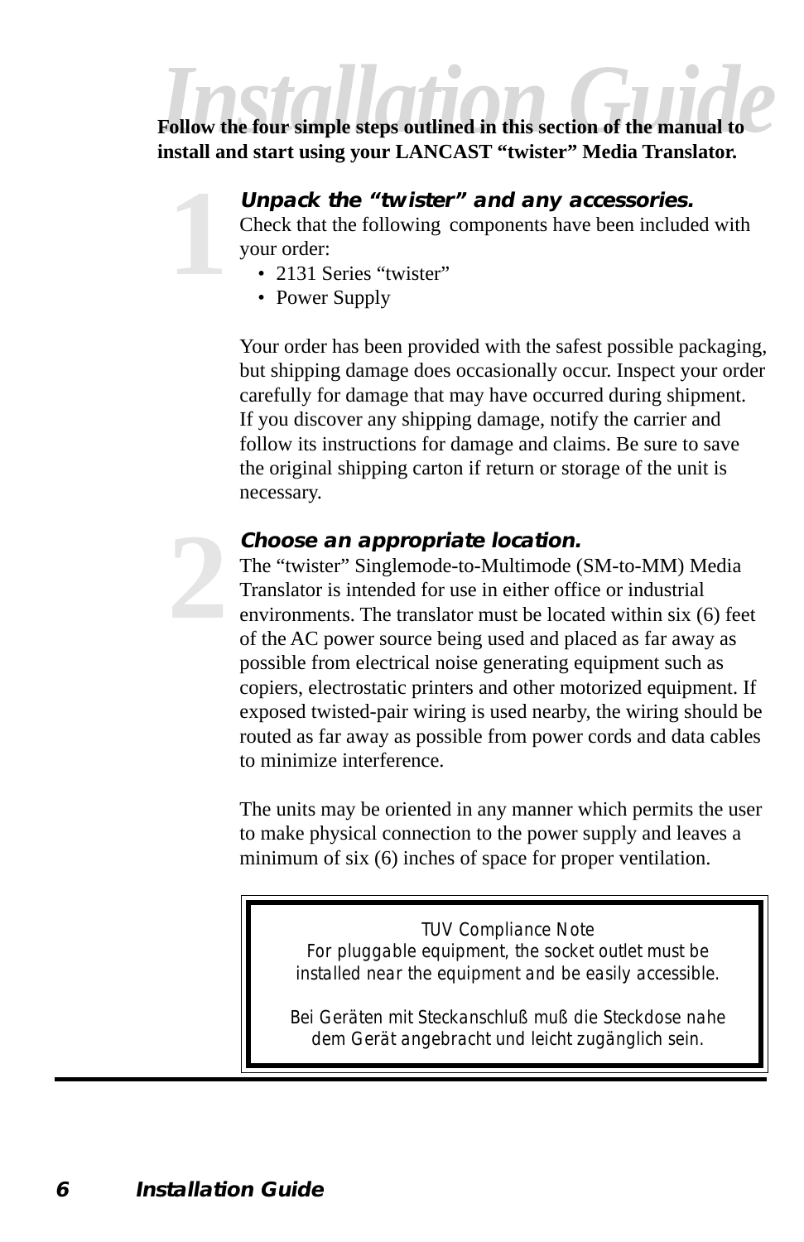Follow the four simple steps outlined in this section of the manual to **install and start using your LANCAST "twister" Media Translator.**

> *Unpack the "twister" and any accessories.* Check that the following components have been included with your order:

- 2131 Series "twister"
- Power Supply

Your order has been provided with the safest possible packaging, but shipping damage does occasionally occur. Inspect your order carefully for damage that may have occurred during shipment. If you discover any shipping damage, notify the carrier and follow its instructions for damage and claims. Be sure to save the original shipping carton if return or storage of the unit is necessary.

#### *Choose an appropriate location.*

The "twister" Singlemode-to-Multimode (SM-to-MM) Media Translator is intended for use in either office or industrial environments. The translator must be located within six (6) feet of the AC power source being used and placed as far away as possible from electrical noise generating equipment such as copiers, electrostatic printers and other motorized equipment. If exposed twisted-pair wiring is used nearby, the wiring should be routed as far away as possible from power cords and data cables to minimize interference.

The units may be oriented in any manner which permits the user to make physical connection to the power supply and leaves a minimum of six (6) inches of space for proper ventilation.

> TUV Compliance Note For pluggable equipment, the socket outlet must be installed near the equipment and be easily accessible.

Bei Geräten mit Steckanschluß muß die Steckdose nahe dem Gerät angebracht und leicht zugänglich sein.

**2**

**1**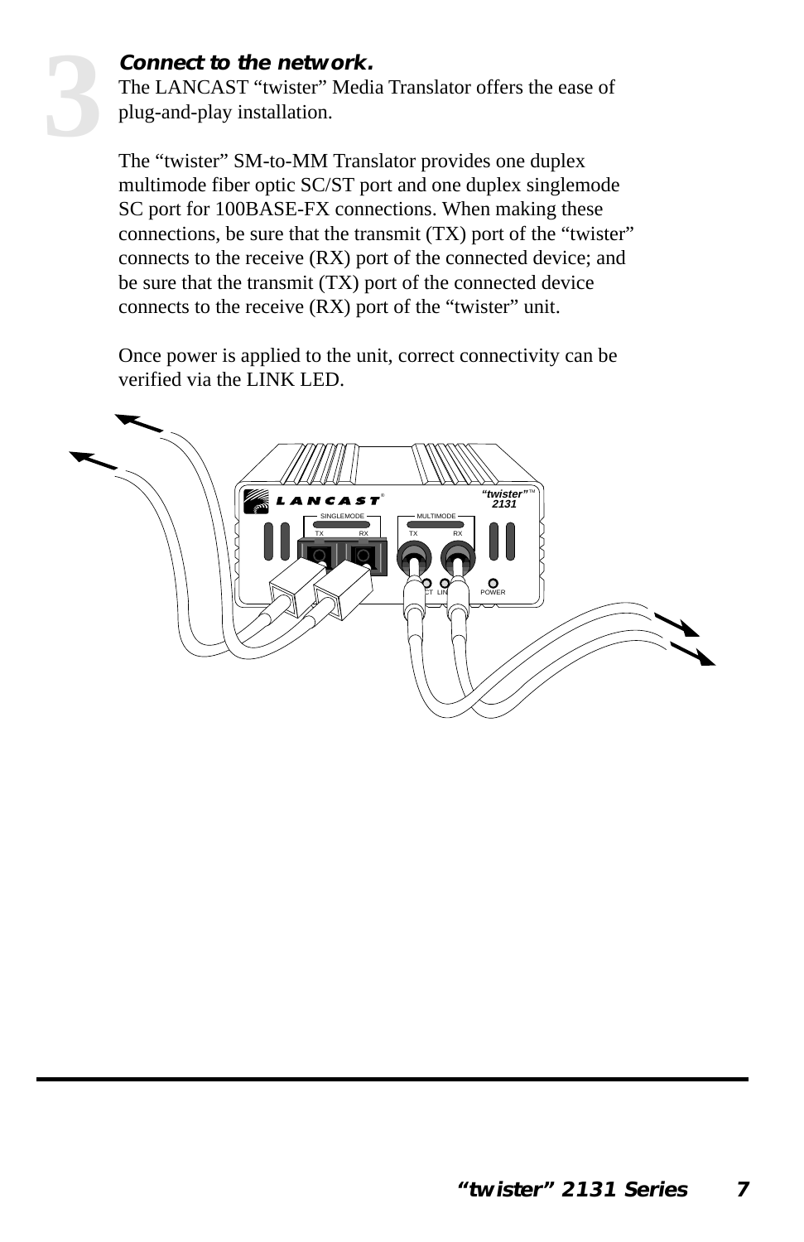#### *Connect to the network.*

**3**

The LANCAST "twister" Media Translator offers the ease of plug-and-play installation.

The "twister" SM-to-MM Translator provides one duplex multimode fiber optic SC/ST port and one duplex singlemode SC port for 100BASE-FX connections. When making these connections, be sure that the transmit (TX) port of the "twister" connects to the receive (RX) port of the connected device; and be sure that the transmit (TX) port of the connected device connects to the receive (RX) port of the "twister" unit.

Once power is applied to the unit, correct connectivity can be verified via the LINK LED.

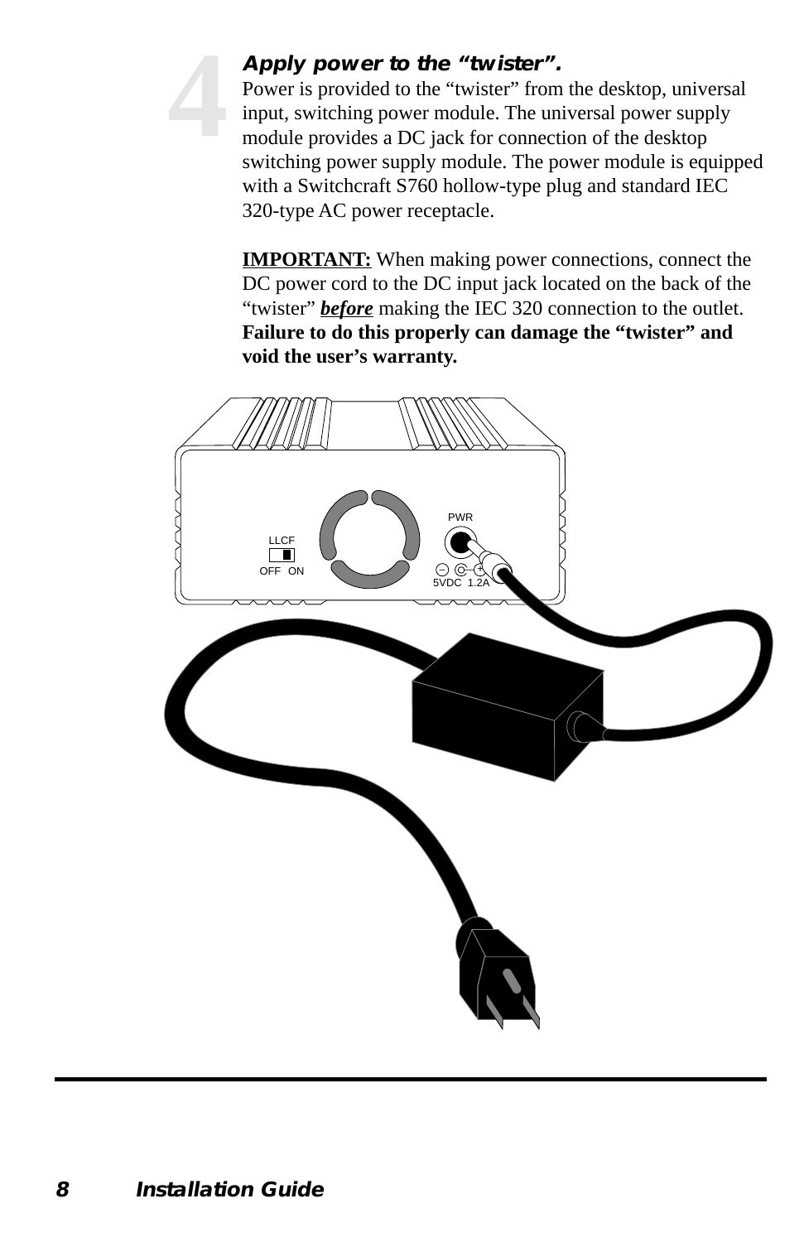*Apply power to the "twister".*

**4**

Power is provided to the "twister" from the desktop, universal input, switching power module. The universal power supply module provides a DC jack for connection of the desktop switching power supply module. The power module is equipped with a Switchcraft S760 hollow-type plug and standard IEC 320-type AC power receptacle.

**IMPORTANT:** When making power connections, connect the DC power cord to the DC input jack located on the back of the "twister" *before* making the IEC 320 connection to the outlet. **Failure to do this properly can damage the "twister" and void the user's warranty.**

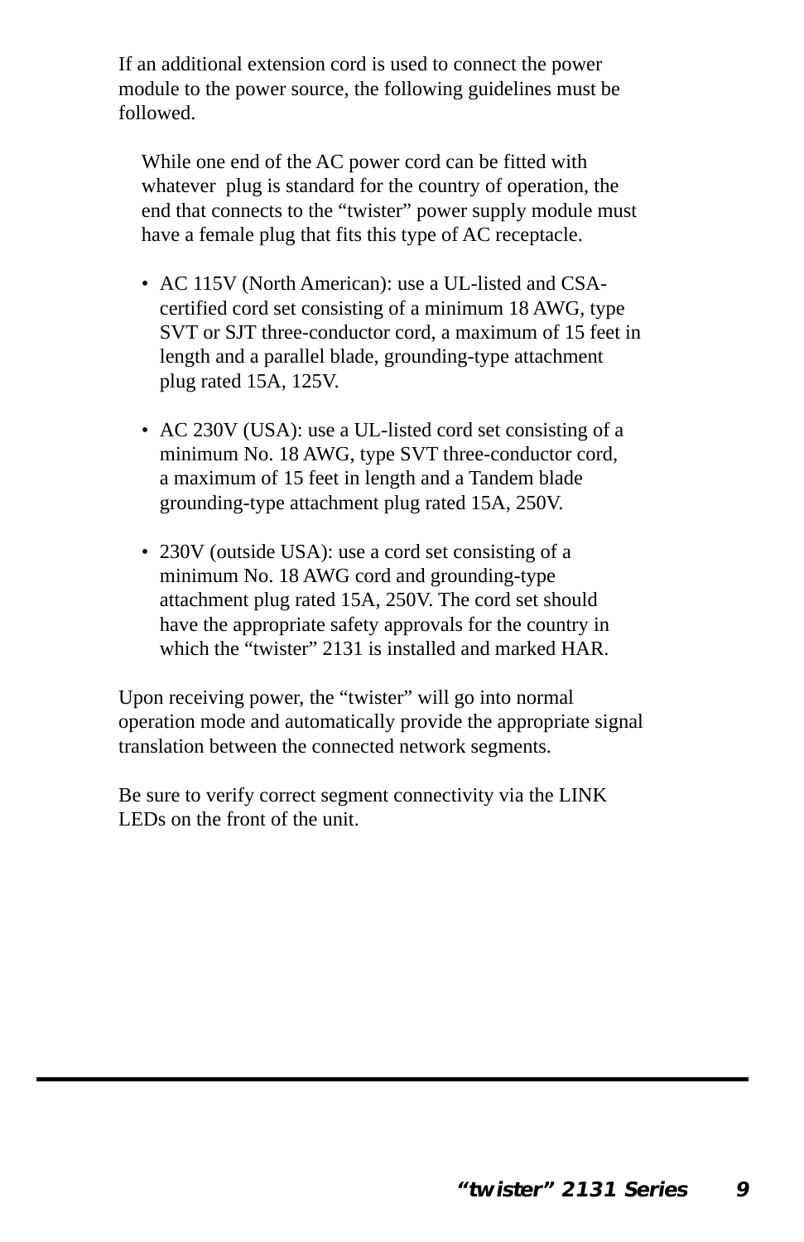If an additional extension cord is used to connect the power module to the power source, the following guidelines must be followed.

While one end of the AC power cord can be fitted with whatever plug is standard for the country of operation, the end that connects to the "twister" power supply module must have a female plug that fits this type of AC receptacle.

- AC 115V (North American): use a UL-listed and CSAcertified cord set consisting of a minimum 18 AWG, type SVT or SJT three-conductor cord, a maximum of 15 feet in length and a parallel blade, grounding-type attachment plug rated 15A, 125V.
- AC 230V (USA): use a UL-listed cord set consisting of a minimum No. 18 AWG, type SVT three-conductor cord, a maximum of 15 feet in length and a Tandem blade grounding-type attachment plug rated 15A, 250V.
- 230V (outside USA): use a cord set consisting of a minimum No. 18 AWG cord and grounding-type attachment plug rated 15A, 250V. The cord set should have the appropriate safety approvals for the country in which the "twister" 2131 is installed and marked HAR.

Upon receiving power, the "twister" will go into normal operation mode and automatically provide the appropriate signal translation between the connected network segments.

Be sure to verify correct segment connectivity via the LINK LEDs on the front of the unit.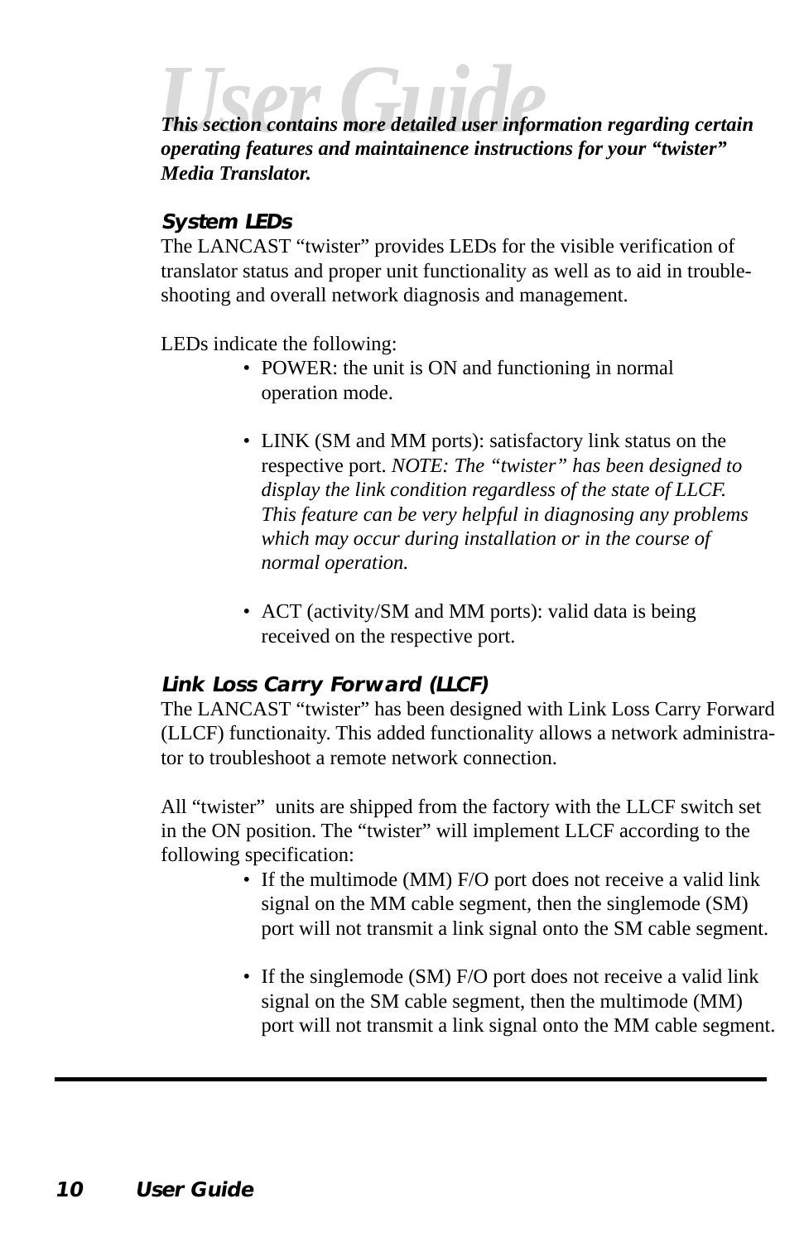**This section contains more detailed user information regarding certain** *operating features and maintainence instructions for your "twister" Media Translator.*

#### *System LEDs*

The LANCAST "twister" provides LEDs for the visible verification of translator status and proper unit functionality as well as to aid in troubleshooting and overall network diagnosis and management.

LEDs indicate the following:

- POWER: the unit is ON and functioning in normal operation mode.
- LINK (SM and MM ports): satisfactory link status on the respective port. *NOTE: The "twister" has been designed to display the link condition regardless of the state of LLCF. This feature can be very helpful in diagnosing any problems which may occur during installation or in the course of normal operation.*
- ACT (activity/SM and MM ports): valid data is being received on the respective port.

#### *Link Loss Carry Forward (LLCF)*

The LANCAST "twister" has been designed with Link Loss Carry Forward (LLCF) functionaity. This added functionality allows a network administrator to troubleshoot a remote network connection.

All "twister" units are shipped from the factory with the LLCF switch set in the ON position. The "twister" will implement LLCF according to the following specification:

- If the multimode (MM) F/O port does not receive a valid link signal on the MM cable segment, then the singlemode (SM) port will not transmit a link signal onto the SM cable segment.
- If the singlemode (SM) F/O port does not receive a valid link signal on the SM cable segment, then the multimode (MM) port will not transmit a link signal onto the MM cable segment.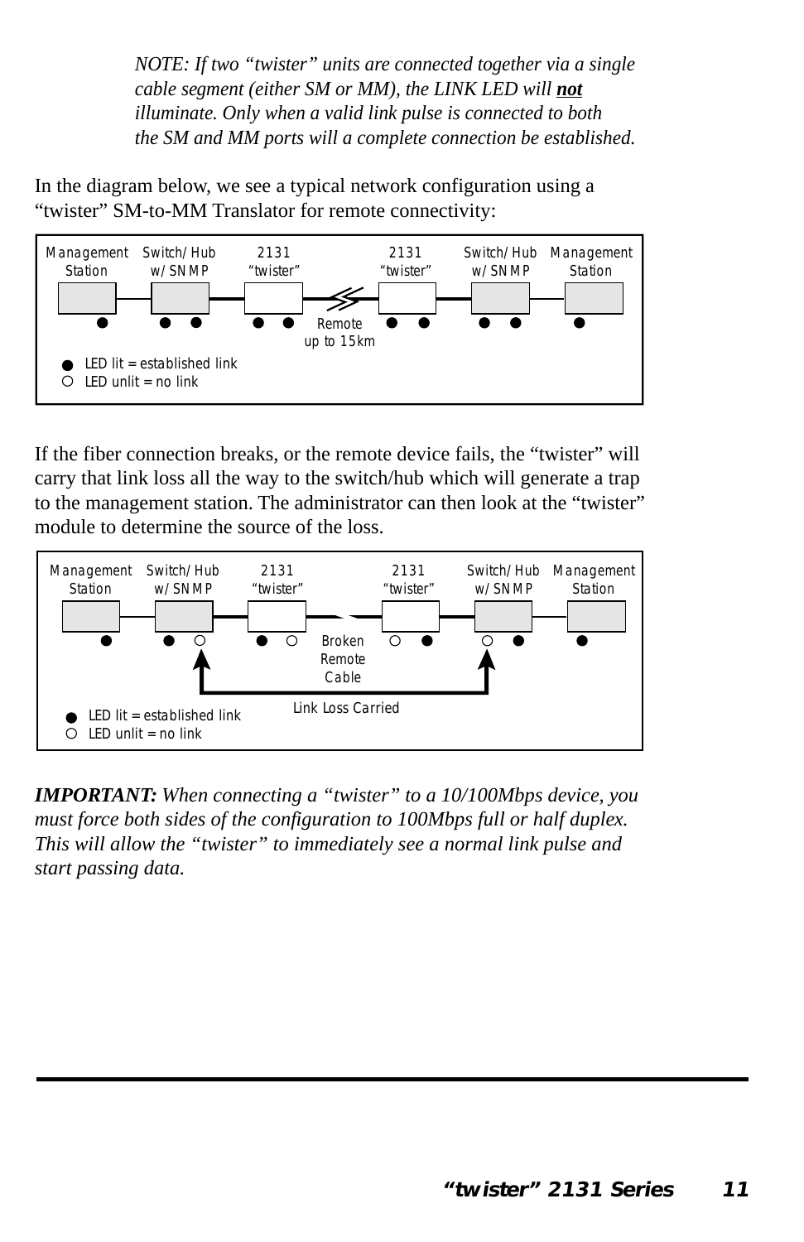*NOTE: If two "twister" units are connected together via a single cable segment (either SM or MM), the LINK LED will not illuminate. Only when a valid link pulse is connected to both the SM and MM ports will a complete connection be established.*

In the diagram below, we see a typical network configuration using a "twister" SM-to-MM Translator for remote connectivity:



If the fiber connection breaks, or the remote device fails, the "twister" will carry that link loss all the way to the switch/hub which will generate a trap to the management station. The administrator can then look at the "twister" module to determine the source of the loss.



*IMPORTANT: When connecting a "twister" to a 10/100Mbps device, you must force both sides of the configuration to 100Mbps full or half duplex. This will allow the "twister" to immediately see a normal link pulse and start passing data.*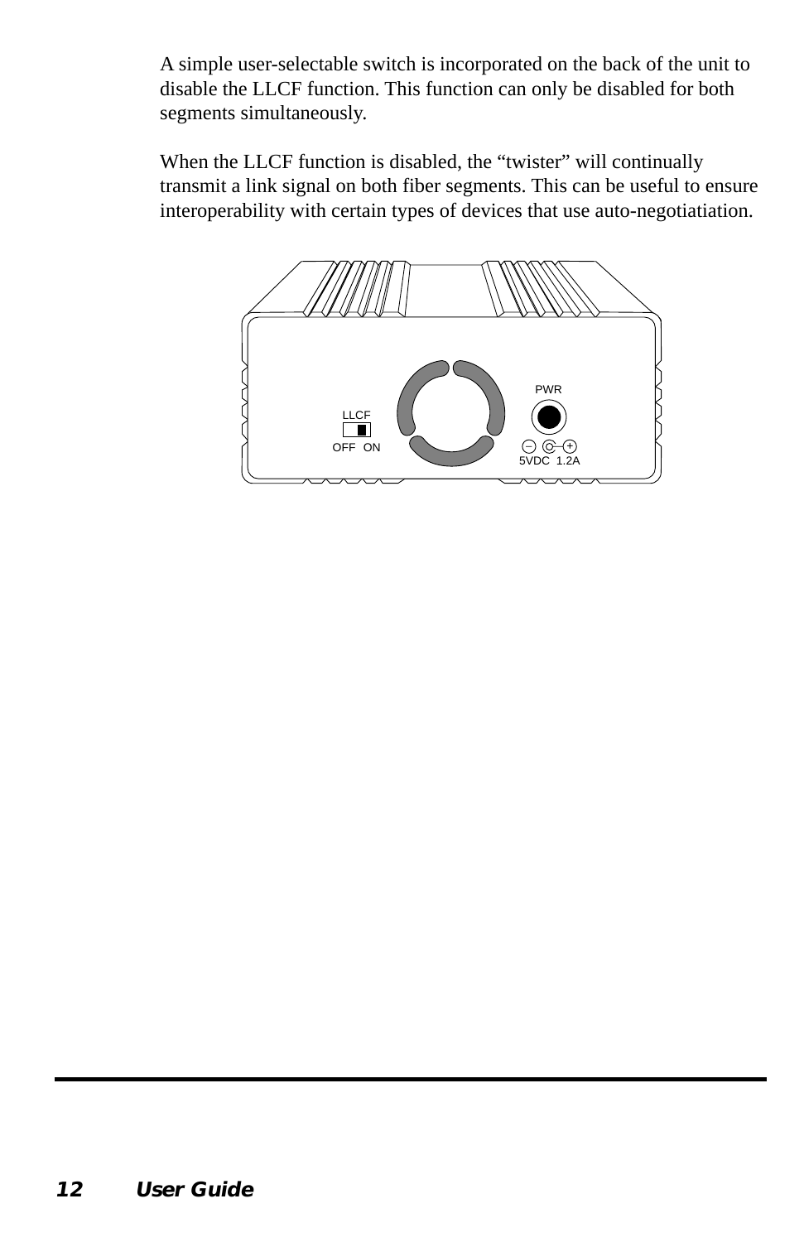A simple user-selectable switch is incorporated on the back of the unit to disable the LLCF function. This function can only be disabled for both segments simultaneously.

When the LLCF function is disabled, the "twister" will continually transmit a link signal on both fiber segments. This can be useful to ensure interoperability with certain types of devices that use auto-negotiatiation.

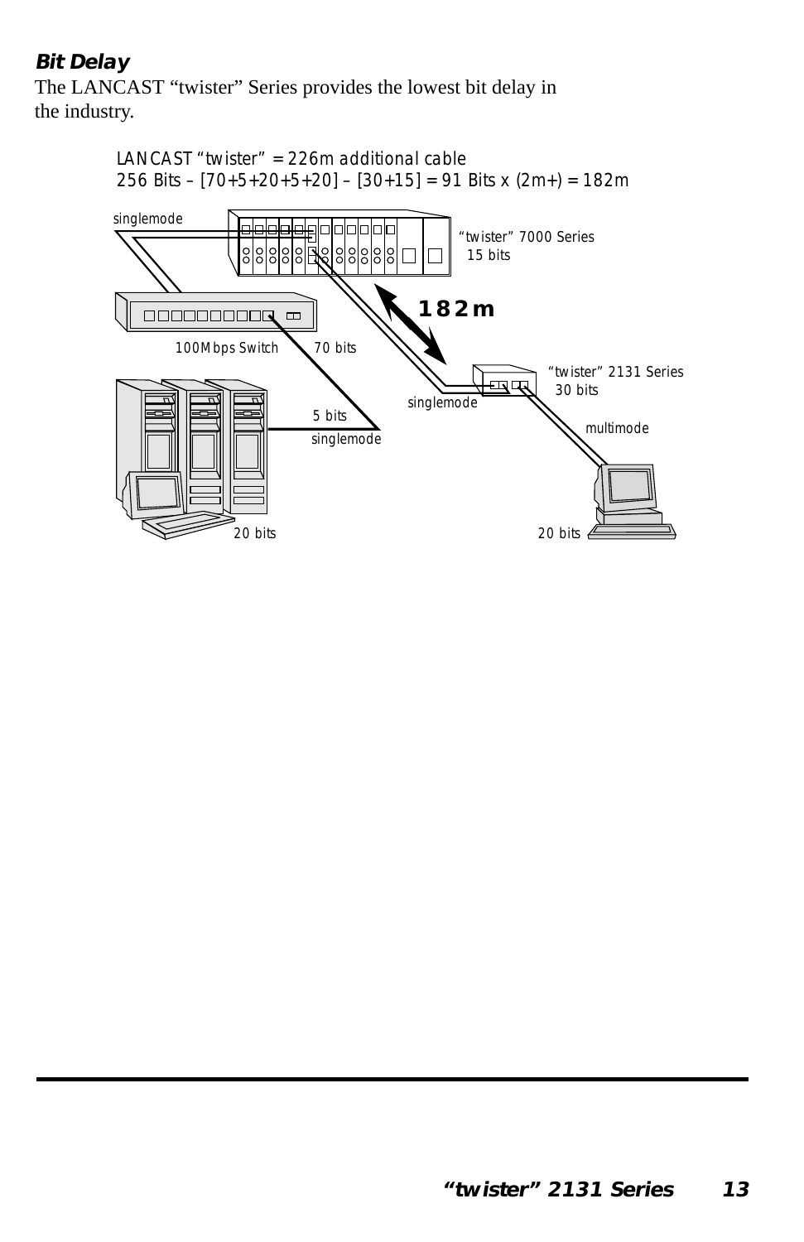#### *Bit Delay* The LANCAST "twister" Series provides the lowest bit delay in the industry.

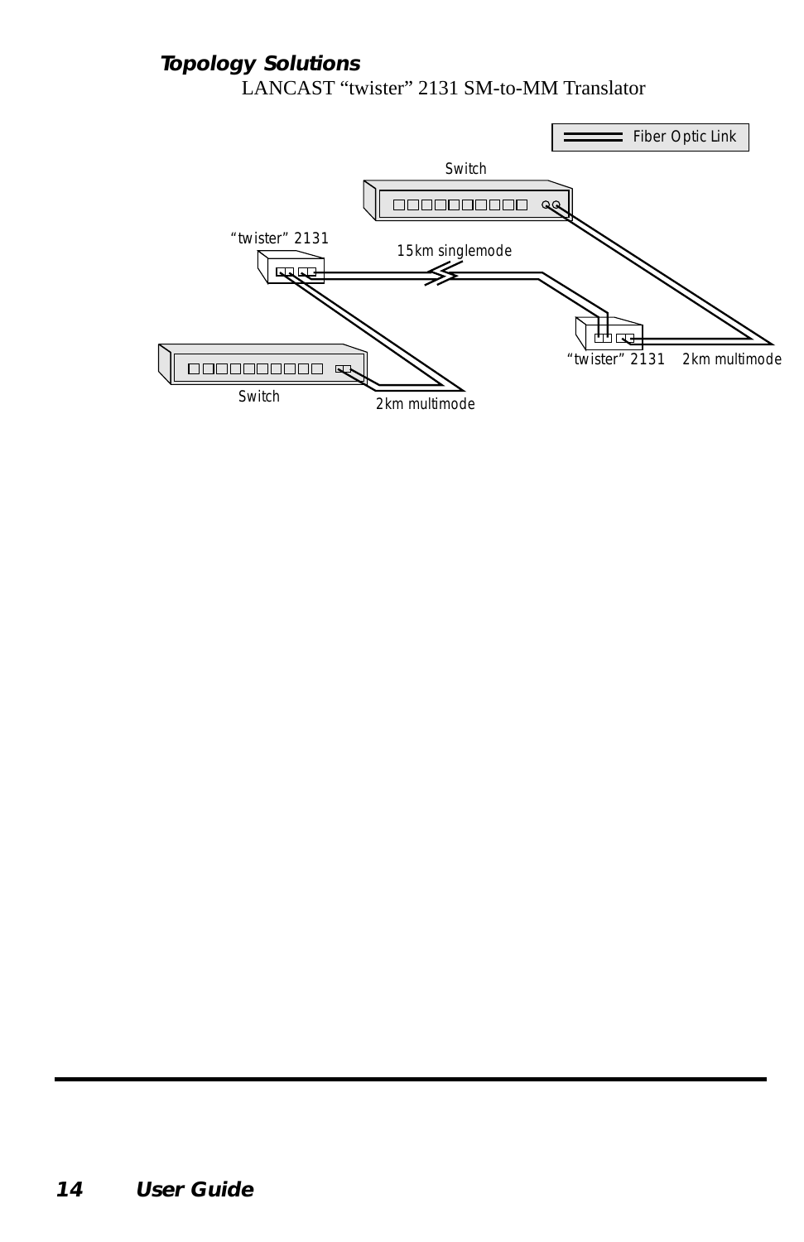#### *Topology Solutions* LANCAST "twister" 2131 SM-to-MM Translator

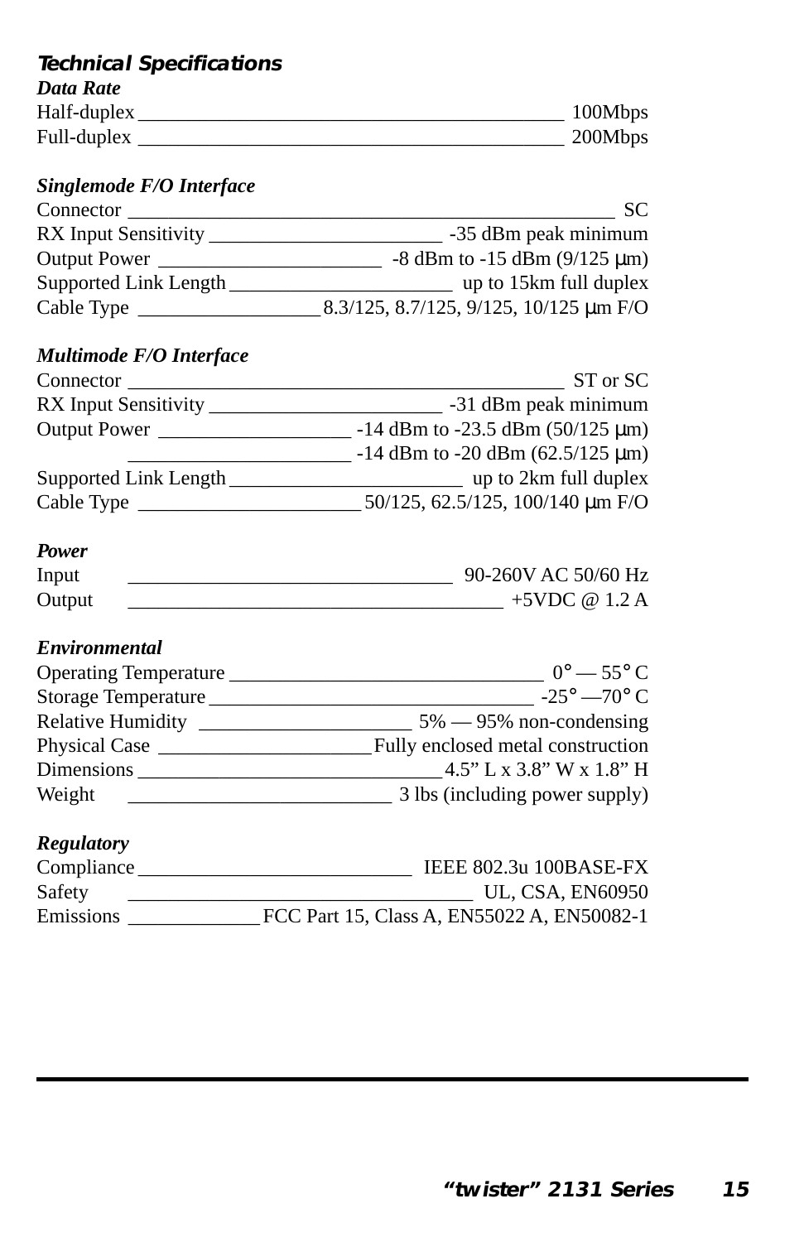| <b>Technical Specifications</b> |         |
|---------------------------------|---------|
| Data Rate                       |         |
| Half-duplex                     | 100Mbps |
| Full-duplex                     | 200Mbps |

#### *Singlemode F/O Interface*

| Connector             | SC.                                    |
|-----------------------|----------------------------------------|
| RX Input Sensitivity  | -35 dBm peak minimum                   |
| <b>Output Power</b>   | $-8$ dBm to $-15$ dBm (9/125 µm)       |
| Supported Link Length | up to 15km full duplex                 |
| Cable Type            | 8.3/125, 8.7/125, 9/125, 10/125 µm F/O |

#### *Multimode F/O Interface*

| Connector                | ST or SC                             |
|--------------------------|--------------------------------------|
| RX Input Sensitivity ___ | -31 dBm peak minimum                 |
| Output Power             | $-14$ dBm to $-23.5$ dBm (50/125 µm) |
|                          | $-14$ dBm to $-20$ dBm (62.5/125 µm) |
| Supported Link Length    | up to 2km full duplex                |
| Cable Type               | 50/125, 62.5/125, 100/140 μm F/O     |

#### *Power*

| Input                | _________ | Jſ.<br>.1Z |
|----------------------|-----------|------------|
| $\Omega$<br>ັ<br>. . |           | (a)        |

#### *Environmental*

| Operating Temperature | $0^{\circ}$ — 55° C               |
|-----------------------|-----------------------------------|
| Storage Temperature   | $-25^{\circ} - 70^{\circ}$ C      |
| Relative Humidity __  | $5\% - 95\%$ non-condensing       |
| Physical Case         | Fully enclosed metal construction |
| Dimensions            | $4.5$ " L x 3.8" W x 1.8" H       |
| Weight                | 3 lbs (including power supply)    |

#### *Regulatory*

| Compliance | IEEE 802.3u 100BASE-FX                     |
|------------|--------------------------------------------|
| Safety     | <b>UL, CSA, EN60950</b>                    |
| Emissions  | FCC Part 15, Class A, EN55022 A, EN50082-1 |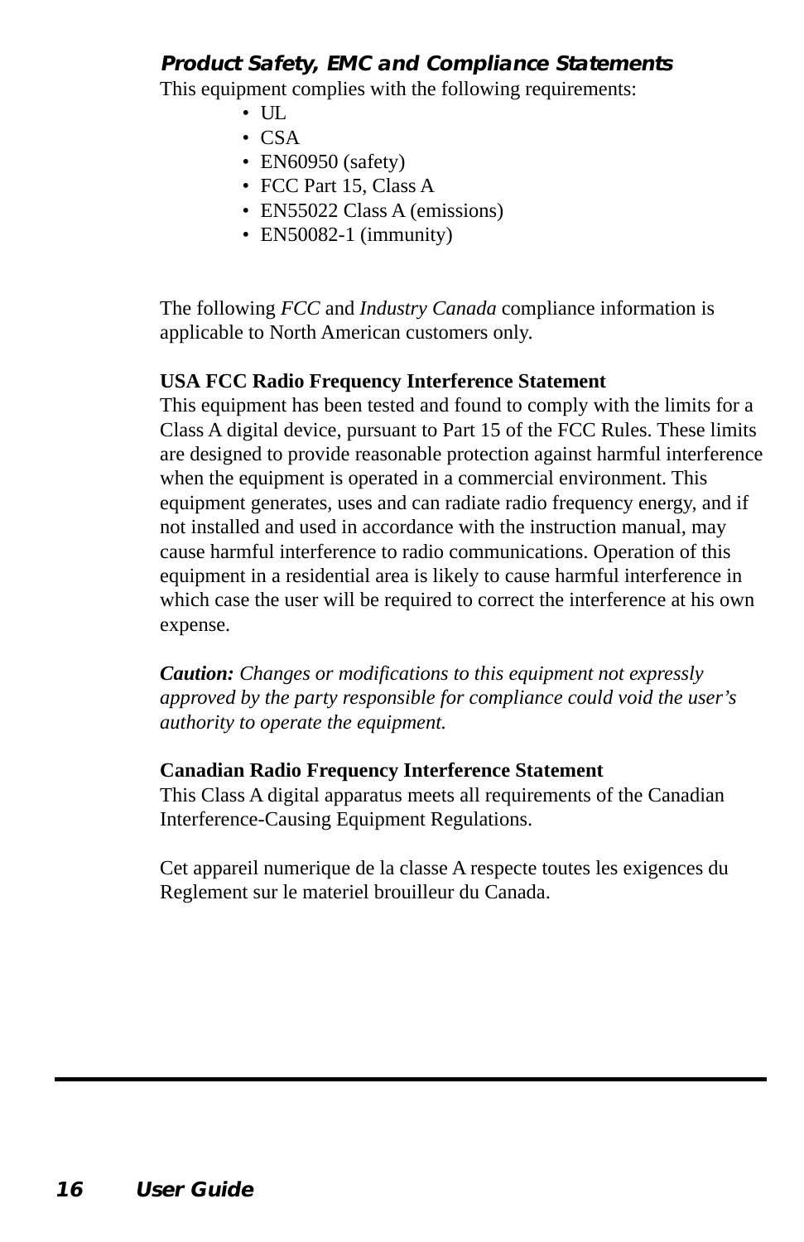*Product Safety, EMC and Compliance Statements* This equipment complies with the following requirements:

- UL
- CSA
- EN60950 (safety)
- FCC Part 15, Class A
- EN55022 Class A (emissions)
- EN50082-1 (immunity)

The following *FCC* and *Industry Canada* compliance information is applicable to North American customers only.

#### **USA FCC Radio Frequency Interference Statement**

This equipment has been tested and found to comply with the limits for a Class A digital device, pursuant to Part 15 of the FCC Rules. These limits are designed to provide reasonable protection against harmful interference when the equipment is operated in a commercial environment. This equipment generates, uses and can radiate radio frequency energy, and if not installed and used in accordance with the instruction manual, may cause harmful interference to radio communications. Operation of this equipment in a residential area is likely to cause harmful interference in which case the user will be required to correct the interference at his own expense.

*Caution: Changes or modifications to this equipment not expressly approved by the party responsible for compliance could void the user's authority to operate the equipment.*

#### **Canadian Radio Frequency Interference Statement**

This Class A digital apparatus meets all requirements of the Canadian Interference-Causing Equipment Regulations.

Cet appareil numerique de la classe A respecte toutes les exigences du Reglement sur le materiel brouilleur du Canada.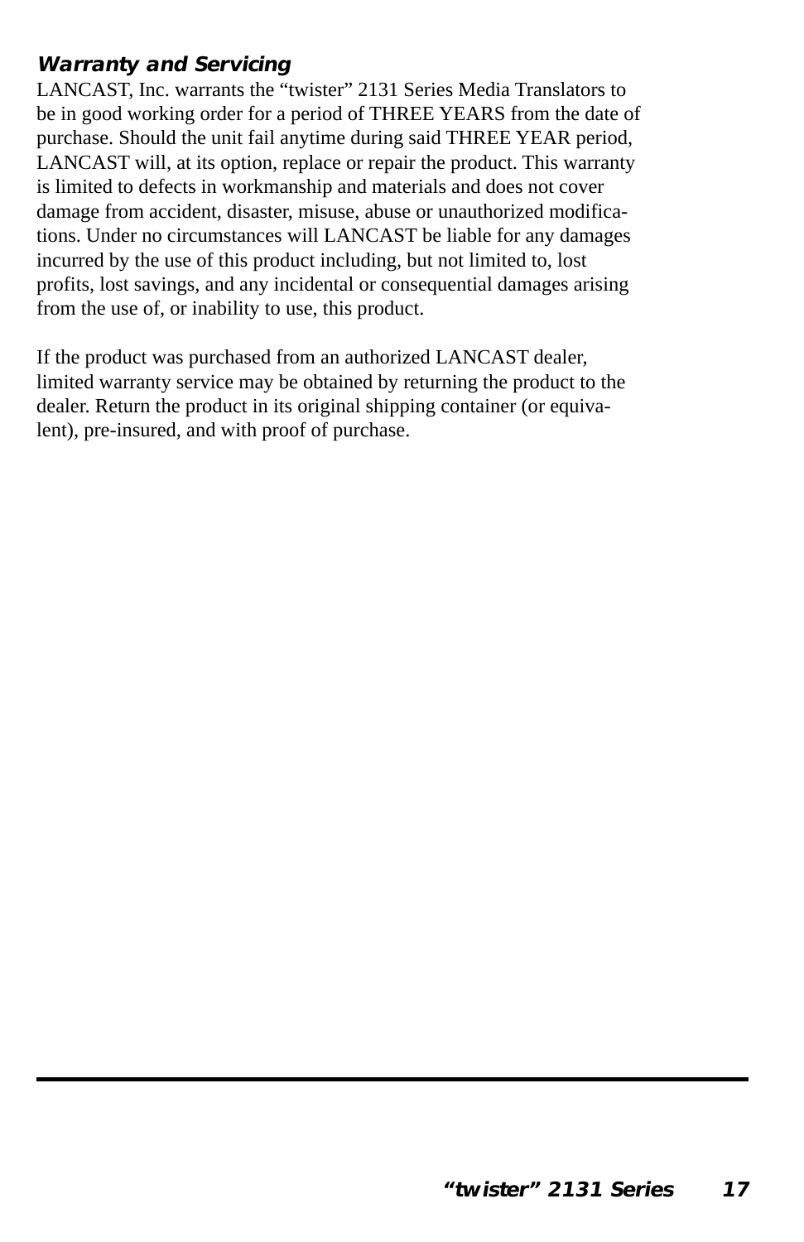#### *Warranty and Servicing*

LANCAST, Inc. warrants the "twister" 2131 Series Media Translators to be in good working order for a period of THREE YEARS from the date of purchase. Should the unit fail anytime during said THREE YEAR period, LANCAST will, at its option, replace or repair the product. This warranty is limited to defects in workmanship and materials and does not cover damage from accident, disaster, misuse, abuse or unauthorized modifications. Under no circumstances will LANCAST be liable for any damages incurred by the use of this product including, but not limited to, lost profits, lost savings, and any incidental or consequential damages arising from the use of, or inability to use, this product.

If the product was purchased from an authorized LANCAST dealer, limited warranty service may be obtained by returning the product to the dealer. Return the product in its original shipping container (or equivalent), pre-insured, and with proof of purchase.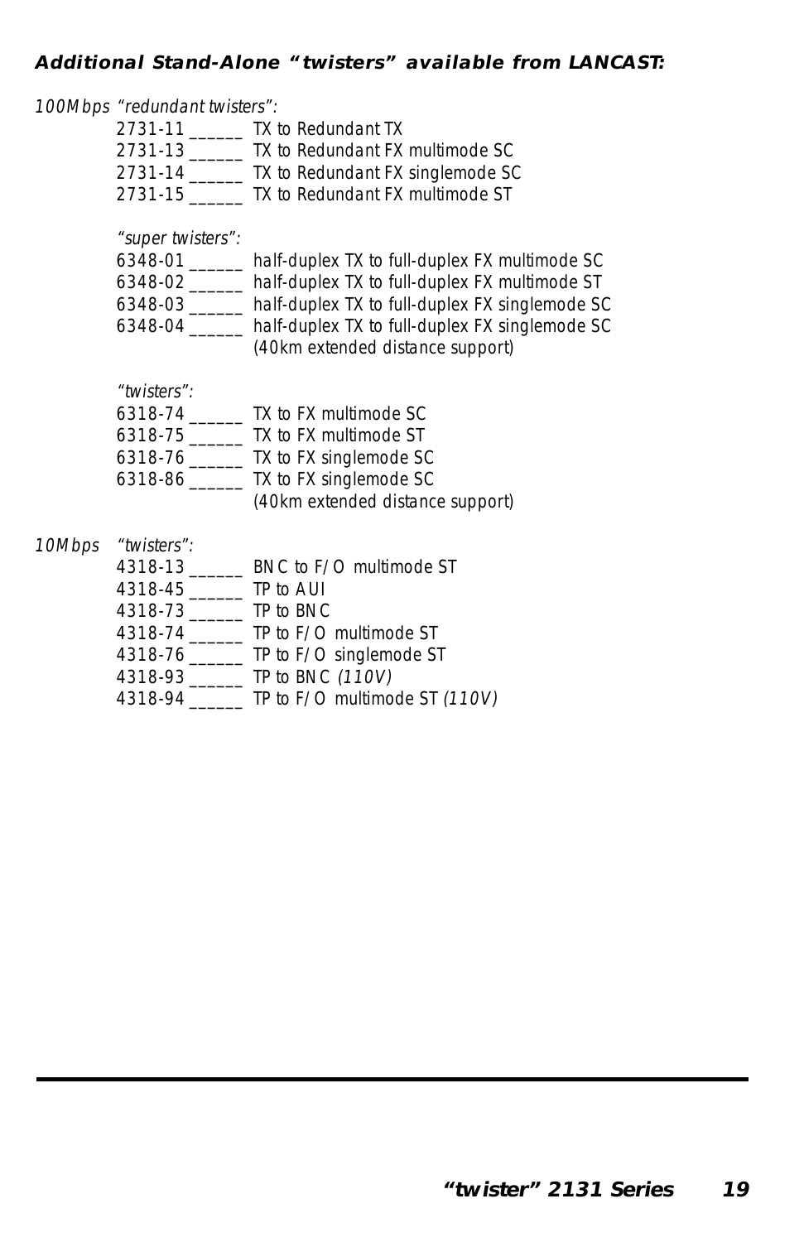*Additional Stand-Alone "twisters" available from LANCAST:*

|        | 100Mbps "redundant twisters":                                            | 2731-11 ________ TX to Redundant TX<br>2731-13 _______ TX to Redundant FX multimode SC<br>2731-14 _______ TX to Redundant FX singlemode SC<br>2731-15 _______ TX to Redundant FX multimode ST                                                                                                       |
|--------|--------------------------------------------------------------------------|-----------------------------------------------------------------------------------------------------------------------------------------------------------------------------------------------------------------------------------------------------------------------------------------------------|
|        | "super twisters":                                                        | 6348-01 _______ half-duplex TX to full-duplex FX multimode SC<br>6348-02 ______ half-duplex TX to full-duplex FX multimode ST<br>6348-03 ______ half-duplex TX to full-duplex FX singlemode SC<br>6348-04 ______ half-duplex TX to full-duplex FX singlemode SC<br>(40km extended distance support) |
|        | "twisters":                                                              | 6318-74 _________ TX to FX multimode SC<br>6318-75 _________ TX to FX multimode ST<br>6318-76 ________ TX to FX singlemode SC<br>6318-86 _______ TX to FX singlemode SC<br>(40km extended distance support)                                                                                         |
| 10Mbps | "twisters":<br>4318-45 ________ TP to AUI<br>4318-73 _________ TP to BNC | 4318-13 ________ BNC to F/O multimode ST<br>4318-74 ________ TP to F/O multimode ST<br>4318-76 _______ TP to F/O singlemode ST<br>4318-93 _______ TP to BNC (110V)<br>4318-94 _______ TP to F/O multimode ST (110V)                                                                                 |